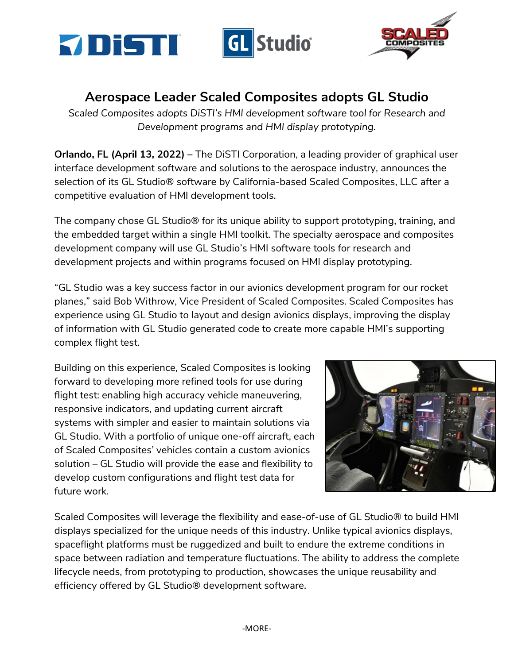



## **Aerospace Leader Scaled Composites adopts GL Studio**

*Scaled Composites adopts DiSTI's HMI development software tool for Research and Development programs and HMI display prototyping.*

**Orlando, FL (April 13, 2022) –** The DiSTI Corporation, a leading provider of graphical user interface development software and solutions to the aerospace industry, announces the selection of its GL Studio® software by California-based Scaled Composites, LLC after a competitive evaluation of HMI development tools.

The company chose GL Studio® for its unique ability to support prototyping, training, and the embedded target within a single HMI toolkit. The specialty aerospace and composites development company will use GL Studio's HMI software tools for research and development projects and within programs focused on HMI display prototyping.

"GL Studio was a key success factor in our avionics development program for our rocket planes," said Bob Withrow, Vice President of Scaled Composites. Scaled Composites has experience using GL Studio to layout and design avionics displays, improving the display of information with GL Studio generated code to create more capable HMI's supporting complex flight test.

Building on this experience, Scaled Composites is looking forward to developing more refined tools for use during flight test: enabling high accuracy vehicle maneuvering, responsive indicators, and updating current aircraft systems with simpler and easier to maintain solutions via GL Studio. With a portfolio of unique one-off aircraft, each of Scaled Composites' vehicles contain a custom avionics solution – GL Studio will provide the ease and flexibility to develop custom configurations and flight test data for future work.



Scaled Composites will leverage the flexibility and ease-of-use of GL Studio® to build HMI displays specialized for the unique needs of this industry. Unlike typical avionics displays, spaceflight platforms must be ruggedized and built to endure the extreme conditions in space between radiation and temperature fluctuations. The ability to address the complete lifecycle needs, from prototyping to production, showcases the unique reusability and efficiency offered by GL Studio® development software.